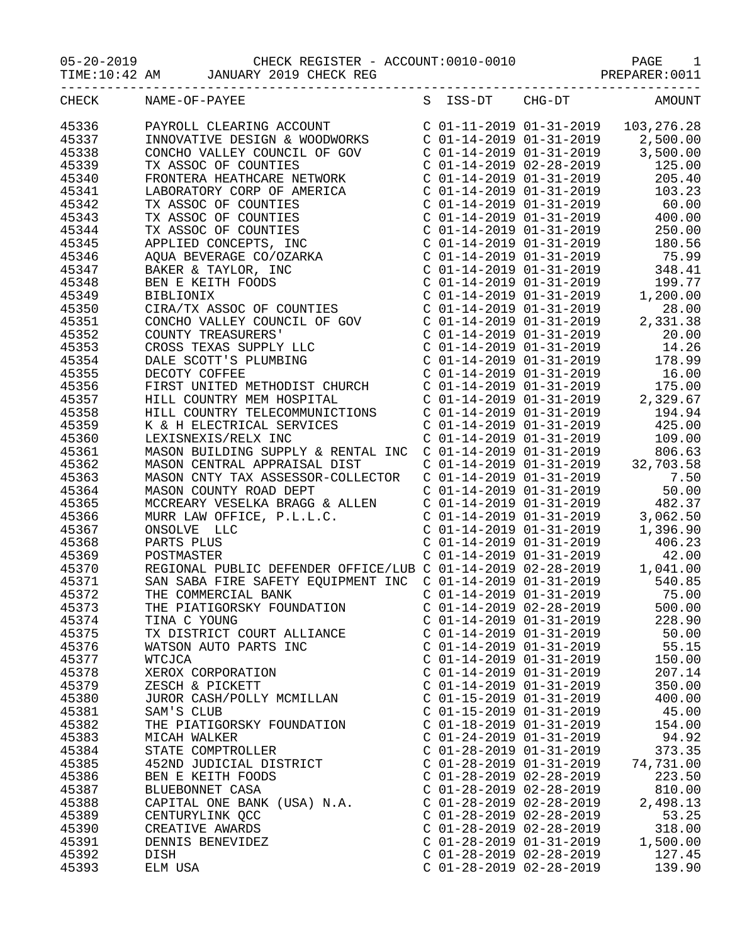| ---------------         | -------------                                                                                                                                                                                                                                        |                                                    | -------------------------- |                                                                                                                                                                                     |
|-------------------------|------------------------------------------------------------------------------------------------------------------------------------------------------------------------------------------------------------------------------------------------------|----------------------------------------------------|----------------------------|-------------------------------------------------------------------------------------------------------------------------------------------------------------------------------------|
|                         | CHECK NAME-OF-PAYEE                                                                                                                                                                                                                                  | S ISS-DT CHG-DT                                    |                            | AMOUNT                                                                                                                                                                              |
| 45336<br>45337<br>45338 | PAYROLL CLEARING ACCOUNT<br>C 01-11-2019 01-31-2019 103,276.28<br>C 01-14-2019 01-31-2019 2,500.00                                                                                                                                                   |                                                    |                            |                                                                                                                                                                                     |
| 45339<br>45340          | CONCHO VALLEY COUNCIL OF GOV<br>TX ASSOC OF COUNTIES<br>C 01-14-2019 01-31-2019<br>C 01-14-2019 02-28-2019 125.00                                                                                                                                    |                                                    |                            |                                                                                                                                                                                     |
| 45341<br>45342<br>45343 |                                                                                                                                                                                                                                                      |                                                    |                            |                                                                                                                                                                                     |
| 45344<br>45345          |                                                                                                                                                                                                                                                      |                                                    |                            |                                                                                                                                                                                     |
| 45346<br>45347<br>45348 |                                                                                                                                                                                                                                                      |                                                    |                            |                                                                                                                                                                                     |
| 45349<br>45350          |                                                                                                                                                                                                                                                      |                                                    |                            |                                                                                                                                                                                     |
| 45351<br>45352<br>45353 | CIRA/TX ASSOC OF COUNTIES<br>CONCHO VALLEY COUNCIL OF GOV<br>CONCHO VALLEY COUNCIL OF GOV<br>COUNTY TREASURERS<br>COUNTY TREASURERS<br>COUNTY TREASURERS<br>COUNTY TREASURERS<br>COL-14-2019 01-31-2019<br>COL-14-2019 01-31-2019<br>DECOTY COFF     |                                                    |                            |                                                                                                                                                                                     |
| 45354<br>45355          |                                                                                                                                                                                                                                                      |                                                    |                            |                                                                                                                                                                                     |
| 45356<br>45357<br>45358 | FIRST UNITED METHODIST CHURCH<br>FIRST UNITED METHODIST CHURCH<br>HILL COUNTRY MEM HOSPITAL<br>HILL COUNTRY TELECOMMUNICTIONS<br>C 01-14-2019 01-31-2019<br>C 01-14-2019 01-31-2019<br>C 01-14-2019 01-31-2019<br>C 01-14-2019 01-31-2019<br>C       |                                                    |                            |                                                                                                                                                                                     |
| 45359<br>45360<br>45361 |                                                                                                                                                                                                                                                      |                                                    |                            |                                                                                                                                                                                     |
| 45362<br>45363          | MASON CNTY TAX ASSESSOR-COLLECTOR                                                                                                                                                                                                                    | $C$ 01-14-2019 01-31-2019                          |                            | $\begin{array}{cccc}\n C & 01 - 14 - 2019 & 01 - 31 - 2019 & & 7.50 \\  C & 01 - 14 - 2019 & 01 - 31 - 2019 & & 50.00\n\end{array}$                                                 |
| 45364<br>45365<br>45366 |                                                                                                                                                                                                                                                      |                                                    |                            |                                                                                                                                                                                     |
| 45367<br>45368          | PARTS PLUS                                                                                                                                                                                                                                           | C 01-14-2019 01-31-2019<br>C 01-14-2019 01-31-2019 |                            | 406.23                                                                                                                                                                              |
| 45369<br>45370<br>45371 | POSTMASTER<br>REGIONAL PUBLIC DEFENDER OFFICE/LUB C 01-14-2019 02-28-2019 1,041.00<br>SAN SABA FIRE SAFETY EQUIPMENT INC C 01-14-2019 01-31-2019                                                                                                     |                                                    |                            | 42.00<br>540.85                                                                                                                                                                     |
| 45372<br>45373          | THE COMMERCIAL BANK C 01-14-2019 01-31-2019 75.00<br>THE PIATIGORSKY FOUNDATION C 01-14-2019 02-28-2019 500.00<br>TINA C YOUNG C 01-14-2019 01-31-2019 228.90<br>TX DISTRICT COURT ALLIANCE C 01-14-2019 01-31-2019 50.00                            |                                                    |                            |                                                                                                                                                                                     |
| 45374<br>45375<br>45376 | WATSON AUTO PARTS INC<br>C 01-14-2019 01-31-2019 55.15                                                                                                                                                                                               |                                                    |                            |                                                                                                                                                                                     |
| 45377<br>45378<br>45379 | WTCJCA                                                                                                                                                                                                                                               |                                                    |                            | $C$ 01-14-2019 01-31-2019 150.00                                                                                                                                                    |
| 45380<br>45381          | XEROX CORPORATION<br>XEROX CORPORATION<br>XESCH & PICKETT<br>JUROR CASH/POLLY MCMILLAN<br>SAM'S CLUB<br>C 01-15-2019 01-31-2019<br>C 01-15-2019 01-31-2019<br>C 01-15-2019 01-31-2019<br>C 01-15-2019 01-31-2019<br>C 01-15-2019<br>C 01-15-2019<br> |                                                    |                            |                                                                                                                                                                                     |
| 45382<br>45383<br>45384 | THE PIATIGORSKY FOUNDATION C 01-18-2019 01-31-2019 154.00<br>MICAH WALKER                                                                                                                                                                            | $C$ 01-24-2019 01-31-2019 94.92                    |                            |                                                                                                                                                                                     |
| 45385<br>45386          | STATE COMPTROLLER<br>STATE COMPTROLLER<br>452ND JUDICIAL DISTRICT<br>BEN E KEITH FOODS<br>C 01-28-2019 02-28-2019<br>C 01-28-2019 02-28-2019<br>C 01-28-2019                                                                                         |                                                    |                            |                                                                                                                                                                                     |
| 45387<br>45388<br>45389 | BEN E KEITH FOODS<br>BLUEBONNET CASA C 01-28-2019 02-28-2019 223.50<br>C 01-28-2019 02-28-2019 2,498.13<br>C 01-28-2019 02-28-2019 2,498.13<br>C 01-28-2019 02-28-2019 2,498.13                                                                      |                                                    |                            | 53.25                                                                                                                                                                               |
| 45390<br>45391          | CENTURYLINK QCC<br>CREATIVE AWARDS<br>CREATIVE AWARDS<br>C 01-28-2019 02-28-2019<br>C 01-28-2019 01-31-2019                                                                                                                                          |                                                    |                            | $\begin{array}{cccc} \texttt{C} & 01-28-2019 & 02-28-2019 & 318.00 \\ \texttt{C} & 01-28-2019 & 01-31-2019 & 1,500.00 \\ \texttt{C} & 01-28-2019 & 02-28-2019 & 127.45 \end{array}$ |
| 45392<br>45393          | DISH<br>ELM USA                                                                                                                                                                                                                                      |                                                    |                            | $C$ 01-28-2019 02-28-2019 139.90                                                                                                                                                    |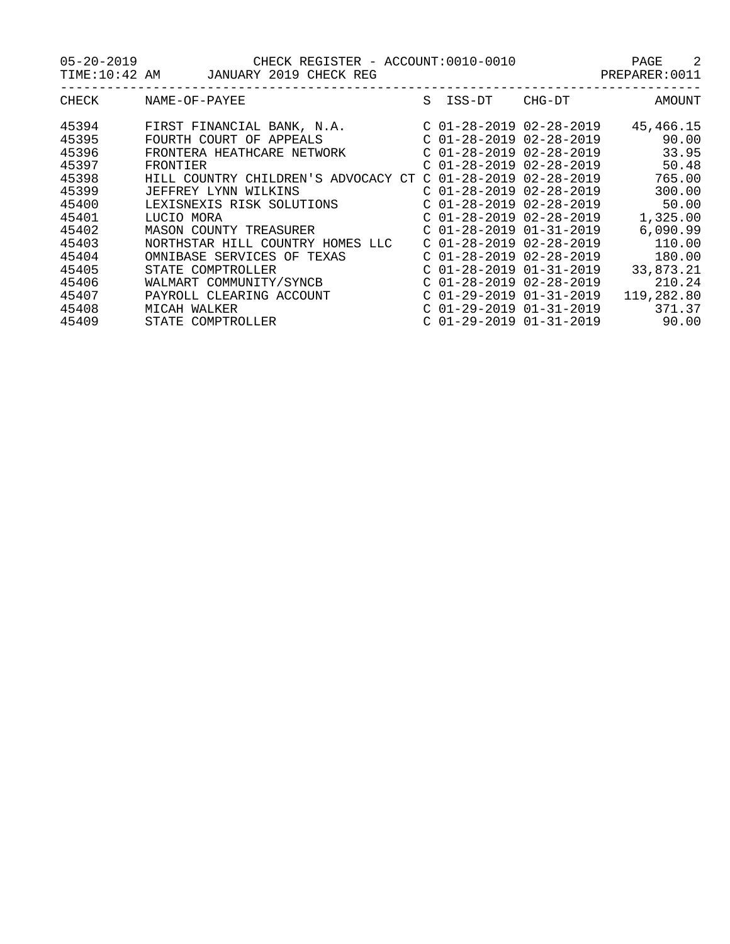05-20-2019 CHECK REGISTER - ACCOUNT:0010-0010 PAGE 2

TIME:10:42 AM JANUARY 2019 CHECK REG STAR STAR PREPARER:0011

| CHECK | NAME-OF-PAYEE                       | S ISS-DT                  | CHG-DT | AMOUNT     |
|-------|-------------------------------------|---------------------------|--------|------------|
| 45394 | FIRST FINANCIAL BANK, N.A.          | $C$ 01-28-2019 02-28-2019 |        | 45,466.15  |
| 45395 | FOURTH COURT OF APPEALS             | $C$ 01-28-2019 02-28-2019 |        | 90.00      |
| 45396 | FRONTERA HEATHCARE NETWORK          | $C$ 01-28-2019 02-28-2019 |        | 33.95      |
| 45397 | FRONTIER                            | $C$ 01-28-2019 02-28-2019 |        | 50.48      |
| 45398 | HILL COUNTRY CHILDREN'S ADVOCACY CT | $C$ 01-28-2019 02-28-2019 |        | 765.00     |
| 45399 | JEFFREY LYNN WILKINS                | $C$ 01-28-2019 02-28-2019 |        | 300.00     |
| 45400 | LEXISNEXIS RISK SOLUTIONS           | $C$ 01-28-2019 02-28-2019 |        | 50.00      |
| 45401 | LUCIO MORA                          | $C$ 01-28-2019 02-28-2019 |        | 1,325.00   |
| 45402 | MASON COUNTY TREASURER              | $C$ 01-28-2019 01-31-2019 |        | 6,090.99   |
| 45403 | NORTHSTAR HILL COUNTRY HOMES LLC    | $C$ 01-28-2019 02-28-2019 |        | 110.00     |
| 45404 | OMNIBASE SERVICES OF TEXAS          | $C$ 01-28-2019 02-28-2019 |        | 180.00     |
| 45405 | STATE COMPTROLLER                   | $C$ 01-28-2019 01-31-2019 |        | 33,873.21  |
| 45406 | WALMART COMMUNITY/SYNCB             | $C$ 01-28-2019 02-28-2019 |        | 210.24     |
| 45407 | PAYROLL CLEARING ACCOUNT            | $C$ 01-29-2019 01-31-2019 |        | 119,282.80 |
| 45408 | MICAH WALKER                        | $C$ 01-29-2019 01-31-2019 |        | 371.37     |
| 45409 | STATE COMPTROLLER                   | $C$ 01-29-2019 01-31-2019 |        | 90.00      |
|       |                                     |                           |        |            |